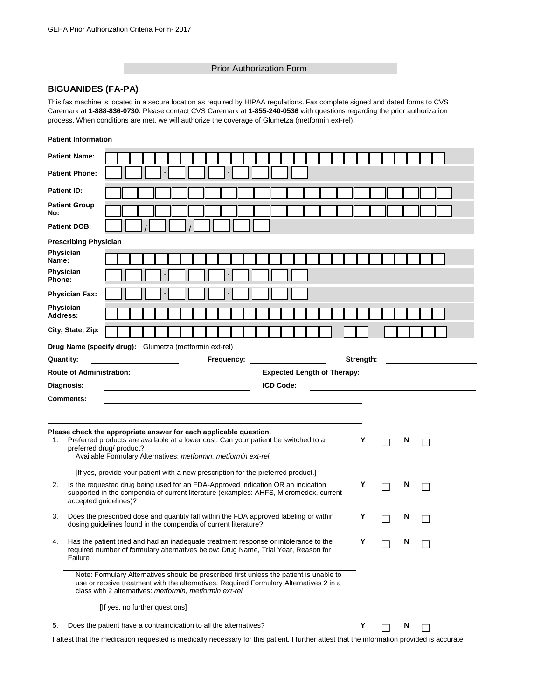## Prior Authorization Form

## **BIGUANIDES (FA-PA)**

This fax machine is located in a secure location as required by HIPAA regulations. Fax complete signed and dated forms to CVS Caremark at **1-888-836-0730**. Please contact CVS Caremark at **1-855-240-0536** with questions regarding the prior authorization process. When conditions are met, we will authorize the coverage of Glumetza (metformin ext-rel).

|                              | <b>Patient Information</b>                                                                                                                                                                                                                             |                                                                                                                                                                                                                                      |  |   |                                          |  |  |
|------------------------------|--------------------------------------------------------------------------------------------------------------------------------------------------------------------------------------------------------------------------------------------------------|--------------------------------------------------------------------------------------------------------------------------------------------------------------------------------------------------------------------------------------|--|---|------------------------------------------|--|--|
|                              | <b>Patient Name:</b>                                                                                                                                                                                                                                   |                                                                                                                                                                                                                                      |  |   |                                          |  |  |
|                              | <b>Patient Phone:</b>                                                                                                                                                                                                                                  |                                                                                                                                                                                                                                      |  |   |                                          |  |  |
| <b>Patient ID:</b>           |                                                                                                                                                                                                                                                        |                                                                                                                                                                                                                                      |  |   |                                          |  |  |
| No:                          | <b>Patient Group</b>                                                                                                                                                                                                                                   |                                                                                                                                                                                                                                      |  |   |                                          |  |  |
|                              | <b>Patient DOB:</b>                                                                                                                                                                                                                                    |                                                                                                                                                                                                                                      |  |   |                                          |  |  |
|                              | <b>Prescribing Physician</b>                                                                                                                                                                                                                           |                                                                                                                                                                                                                                      |  |   |                                          |  |  |
| Physician<br>Name:           |                                                                                                                                                                                                                                                        |                                                                                                                                                                                                                                      |  |   |                                          |  |  |
| Physician<br>Phone:          |                                                                                                                                                                                                                                                        |                                                                                                                                                                                                                                      |  |   |                                          |  |  |
|                              | <b>Physician Fax:</b>                                                                                                                                                                                                                                  |                                                                                                                                                                                                                                      |  |   |                                          |  |  |
| <b>Physician</b><br>Address: |                                                                                                                                                                                                                                                        |                                                                                                                                                                                                                                      |  |   |                                          |  |  |
| City, State, Zip:            |                                                                                                                                                                                                                                                        |                                                                                                                                                                                                                                      |  |   |                                          |  |  |
|                              | Drug Name (specify drug): Glumetza (metformin ext-rel)                                                                                                                                                                                                 |                                                                                                                                                                                                                                      |  |   |                                          |  |  |
| <b>Quantity:</b>             | Frequency: <u>_________</u>                                                                                                                                                                                                                            |                                                                                                                                                                                                                                      |  |   | Strength: <u>_______________________</u> |  |  |
|                              | <b>Expected Length of Therapy:</b>                                                                                                                                                                                                                     |                                                                                                                                                                                                                                      |  |   |                                          |  |  |
|                              | <b>ICD Code:</b><br>Diagnosis:<br><u> 1989 - Johann Barbara, martin amerikan basar dan basa dan basa dan basa dan basa dan basa dan basa dan basa</u>                                                                                                  | <u>and the state of the state of the state of the state of the state of the state of the state of the state of the state of the state of the state of the state of the state of the state of the state of the state of the state</u> |  |   |                                          |  |  |
|                              | Comments:                                                                                                                                                                                                                                              |                                                                                                                                                                                                                                      |  |   |                                          |  |  |
|                              |                                                                                                                                                                                                                                                        |                                                                                                                                                                                                                                      |  |   |                                          |  |  |
|                              |                                                                                                                                                                                                                                                        |                                                                                                                                                                                                                                      |  |   |                                          |  |  |
| 1.                           | Please check the appropriate answer for each applicable question.<br>Preferred products are available at a lower cost. Can your patient be switched to a<br>preferred drug/ product?<br>Available Formulary Alternatives: metformin, metformin ext-rel | Y                                                                                                                                                                                                                                    |  | N |                                          |  |  |
|                              | [If yes, provide your patient with a new prescription for the preferred product.]                                                                                                                                                                      |                                                                                                                                                                                                                                      |  |   |                                          |  |  |
| 2.                           | Is the requested drug being used for an FDA-Approved indication OR an indication<br>supported in the compendia of current literature (examples: AHFS, Micromedex, current<br>accepted guidelines)?                                                     | Y                                                                                                                                                                                                                                    |  | N |                                          |  |  |
| 3.                           | Does the prescribed dose and quantity fall within the FDA approved labeling or within<br>dosing guidelines found in the compendia of current literature?                                                                                               | Y                                                                                                                                                                                                                                    |  | N |                                          |  |  |
| 4.                           | Has the patient tried and had an inadequate treatment response or intolerance to the<br>required number of formulary alternatives below: Drug Name, Trial Year, Reason for<br>Failure                                                                  |                                                                                                                                                                                                                                      |  |   |                                          |  |  |
|                              | Note: Formulary Alternatives should be prescribed first unless the patient is unable to<br>use or receive treatment with the alternatives. Required Formulary Alternatives 2 in a<br>class with 2 alternatives: metformin, metformin ext-rel           |                                                                                                                                                                                                                                      |  |   |                                          |  |  |
|                              | [If yes, no further questions]                                                                                                                                                                                                                         |                                                                                                                                                                                                                                      |  |   |                                          |  |  |
| 5.                           | Does the patient have a contraindication to all the alternatives?                                                                                                                                                                                      | Y                                                                                                                                                                                                                                    |  | N |                                          |  |  |

I attest that the medication requested is medically necessary for this patient. I further attest that the information provided is accurate